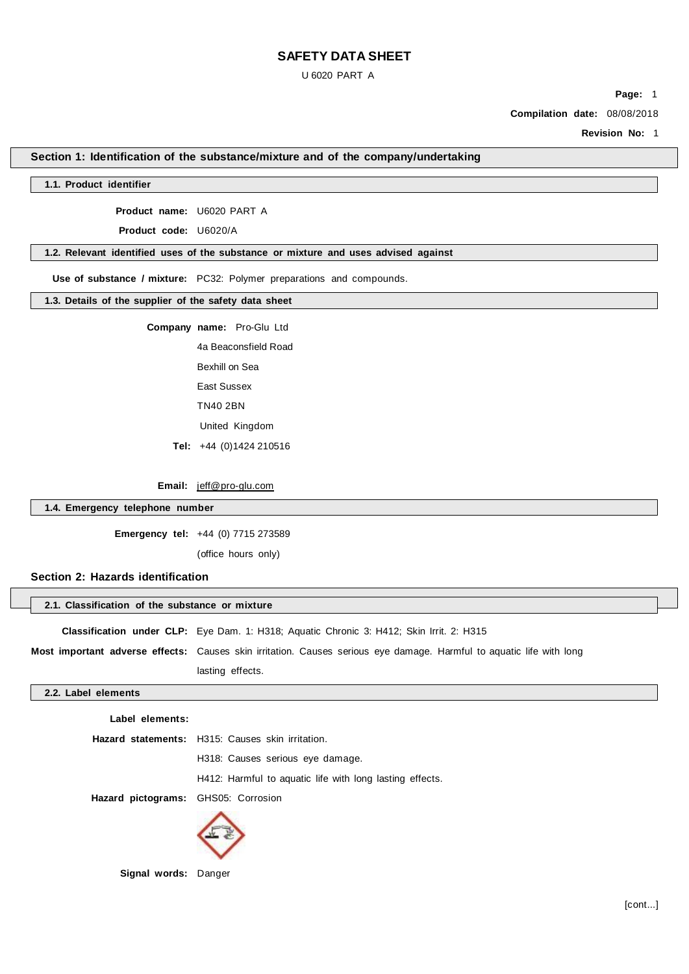U 6020 PART A

**Page:** 1

**Compilation date:** 08/08/2018

**Revision No:** 1

# **Section 1: Identification of the substance/mixture and of the company/undertaking**

## **1.1. Product identifier**

**Product name:** U6020 PART A

**Product code:** U6020/A

#### **1.2. Relevant identified uses of the substance or mixture and uses advised against**

**Use of substance / mixture:** PC32: Polymer preparations and compounds.

**1.3. Details of the supplier of the safety data sheet**

**Company name:** Pro-Glu Ltd

4a Beaconsfield Road Bexhill on Sea East Sussex TN40 2BN

United Kingdom

**Tel:** +44 (0)1424 210516

**Email:** jeff@pro-glu.com

## **1.4. Emergency telephone number**

**Emergency tel:** +44 (0) 7715 273589

(office hours only)

## **Section 2: Hazards identification**

| 2.1. Classification of the substance or mixture                                                 |  |
|-------------------------------------------------------------------------------------------------|--|
| <b>Classification under CLP:</b> Eye Dam. 1: H318; Aquatic Chronic 3: H412; Skin Irrit. 2: H315 |  |

**Most important adverse effects:** Causes skin irritation. Causes serious eye damage. Harmful to aquatic life with long lasting effects.

# **2.2. Label elements**

**Label elements:**

|                                     | Hazard statements: H315: Causes skin irritation.         |  |
|-------------------------------------|----------------------------------------------------------|--|
|                                     | H318: Causes serious eye damage.                         |  |
|                                     | H412: Harmful to aquatic life with long lasting effects. |  |
| Hazard pictograms: GHS05: Corrosion |                                                          |  |
|                                     |                                                          |  |



**Signal words:** Danger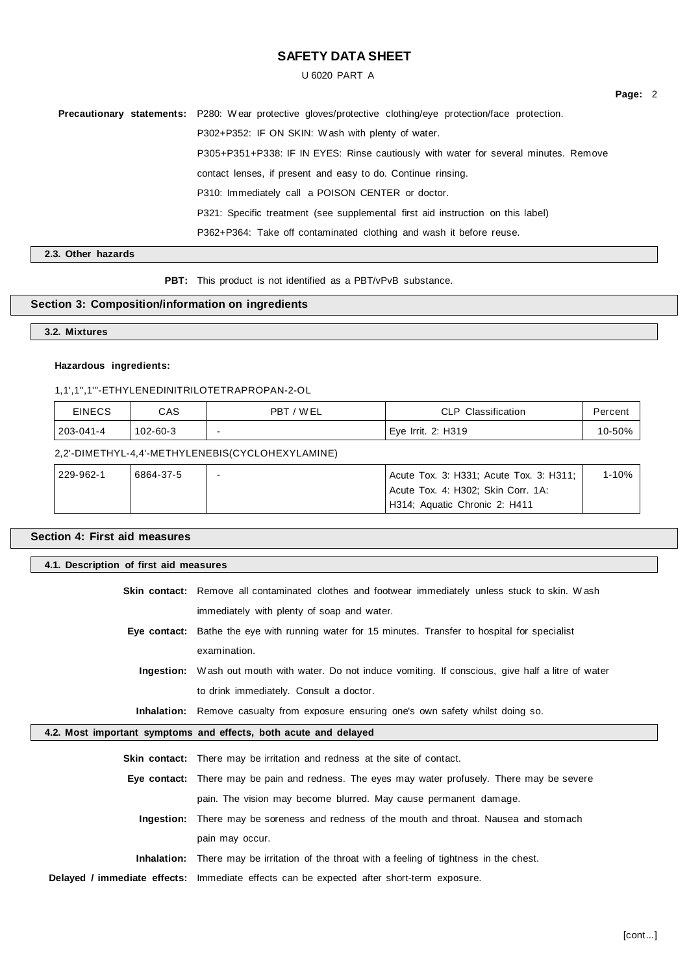U 6020 PART A

**Precautionary statements:** P280: W ear protective gloves/protective clothing/eye protection/face protection. P302+P352: IF ON SKIN: W ash with plenty of water. P305+P351+P338: IF IN EYES: Rinse cautiously with water for several minutes. Remove contact lenses, if present and easy to do. Continue rinsing. P310: Immediately call a POISON CENTER or doctor. P321: Specific treatment (see supplemental first aid instruction on this label) P362+P364: Take off contaminated clothing and wash it before reuse.

**2.3. Other hazards**

PBT: This product is not identified as a PBT/vPvB substance.

# **Section 3: Composition/information on ingredients**

**3.2. Mixtures**

## **Hazardous ingredients:**

# 1,1',1'',1'''-ETHYLENEDINITRILOTETRAPROPAN-2-OL

| <b>EINECS</b> | CAS      | ' W EL<br><b>PBT</b> | <b>CLP</b> Classification | Percent |
|---------------|----------|----------------------|---------------------------|---------|
| 203-041-4     | 102-60-3 |                      | Eye Irrit. 2: H319        | 10-50%  |

2,2'-DIMETHYL-4,4'-METHYLENEBIS(CYCLOHEXYLAMINE)

| 229-962-1 | 6864-37-5 | Acute Tox. 3: H331; Acute Tox. 3: H311; | 1-10% |
|-----------|-----------|-----------------------------------------|-------|
|           |           | Acute Tox. 4: H302; Skin Corr. 1A:      |       |
|           |           | H314; Aquatic Chronic 2: H411           |       |

| Section 4: First aid measures                                                                            |                                                                                                        |  |
|----------------------------------------------------------------------------------------------------------|--------------------------------------------------------------------------------------------------------|--|
| 4.1. Description of first aid measures                                                                   |                                                                                                        |  |
| <b>Skin contact:</b> Remove all contaminated clothes and footwear immediately unless stuck to skin. Wash |                                                                                                        |  |
|                                                                                                          | immediately with plenty of soap and water.                                                             |  |
|                                                                                                          | Eye contact: Bathe the eye with running water for 15 minutes. Transfer to hospital for specialist      |  |
|                                                                                                          | examination.                                                                                           |  |
|                                                                                                          | Ingestion: Wash out mouth with water. Do not induce vomiting. If conscious, give half a litre of water |  |
|                                                                                                          | to drink immediately. Consult a doctor.                                                                |  |
|                                                                                                          | <b>Inhalation:</b> Remove casualty from exposure ensuring one's own safety whilst doing so.            |  |
|                                                                                                          | 4.2. Most important symptoms and effects, both acute and delayed                                       |  |
|                                                                                                          | <b>Skin contact:</b> There may be irritation and redness at the site of contact.                       |  |
|                                                                                                          | Eye contact: There may be pain and redness. The eyes may water profusely. There may be severe          |  |
|                                                                                                          | pain. The vision may become blurred. May cause permanent damage.                                       |  |
|                                                                                                          | <b>Ingestion:</b> There may be soreness and redness of the mouth and throat. Nausea and stomach        |  |
|                                                                                                          | pain may occur.                                                                                        |  |
|                                                                                                          | <b>Inhalation:</b> There may be irritation of the throat with a feeling of tightness in the chest.     |  |
|                                                                                                          | Delayed / immediate effects: Immediate effects can be expected after short-term exposure.              |  |

**Page:** 2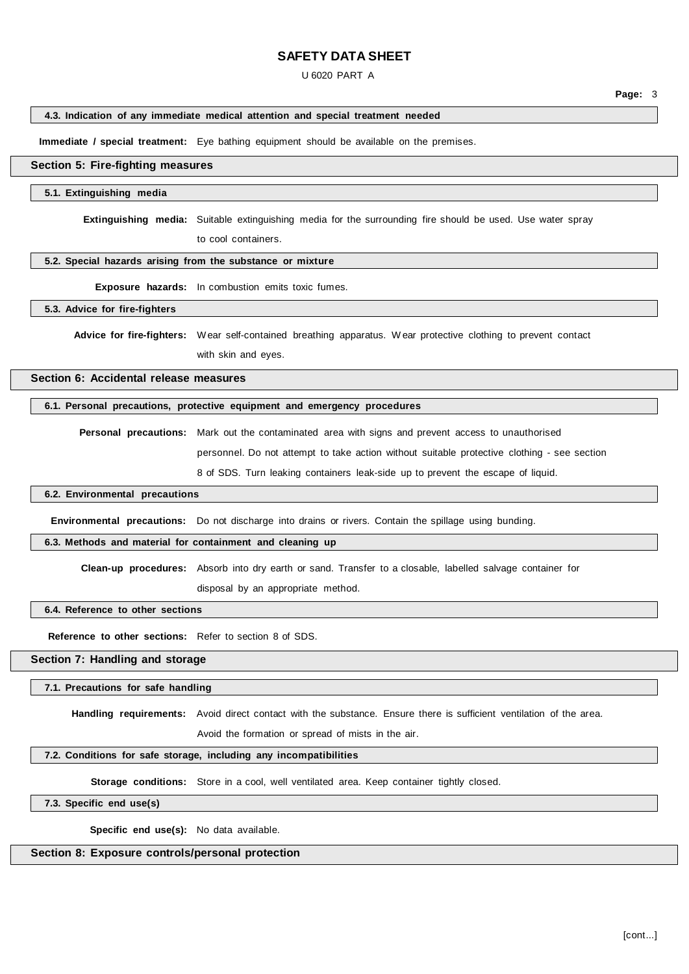#### U 6020 PART A

**Page:** 3

### **4.3. Indication of any immediate medical attention and special treatment needed**

**Immediate / special treatment:** Eye bathing equipment should be available on the premises.

#### **Section 5: Fire-fighting measures**

#### **5.1. Extinguishing media**

**Extinguishing media:** Suitable extinguishing media for the surrounding fire should be used. Use water spray

to cool containers.

# **5.2. Special hazards arising from the substance or mixture**

**Exposure hazards:** In combustion emits toxic fumes.

## **5.3. Advice for fire-fighters**

**Advice for fire-fighters:** Wear self-contained breathing apparatus. W ear protective clothing to prevent contact with skin and eyes.

**Section 6: Accidental release measures**

## **6.1. Personal precautions, protective equipment and emergency procedures**

**Personal precautions:** Mark out the contaminated area with signs and prevent access to unauthorised personnel. Do not attempt to take action without suitable protective clothing - see section 8 of SDS. Turn leaking containers leak-side up to prevent the escape of liquid.

### **6.2. Environmental precautions**

**Environmental precautions:** Do not discharge into drains or rivers. Contain the spillage using bunding.

### **6.3. Methods and material for containment and cleaning up**

**Clean-up procedures:** Absorb into dry earth or sand. Transfer to a closable, labelled salvage container for

disposal by an appropriate method.

#### **6.4. Reference to other sections**

**Reference to other sections:** Refer to section 8 of SDS.

#### **Section 7: Handling and storage**

#### **7.1. Precautions for safe handling**

**Handling requirements:** Avoid direct contact with the substance. Ensure there is sufficient ventilation of the area.

Avoid the formation or spread of mists in the air.

# **7.2. Conditions for safe storage, including any incompatibilities**

**Storage conditions:** Store in a cool, well ventilated area. Keep container tightly closed.

**7.3. Specific end use(s)**

**Specific end use(s):** No data available.

# **Section 8: Exposure controls/personal protection**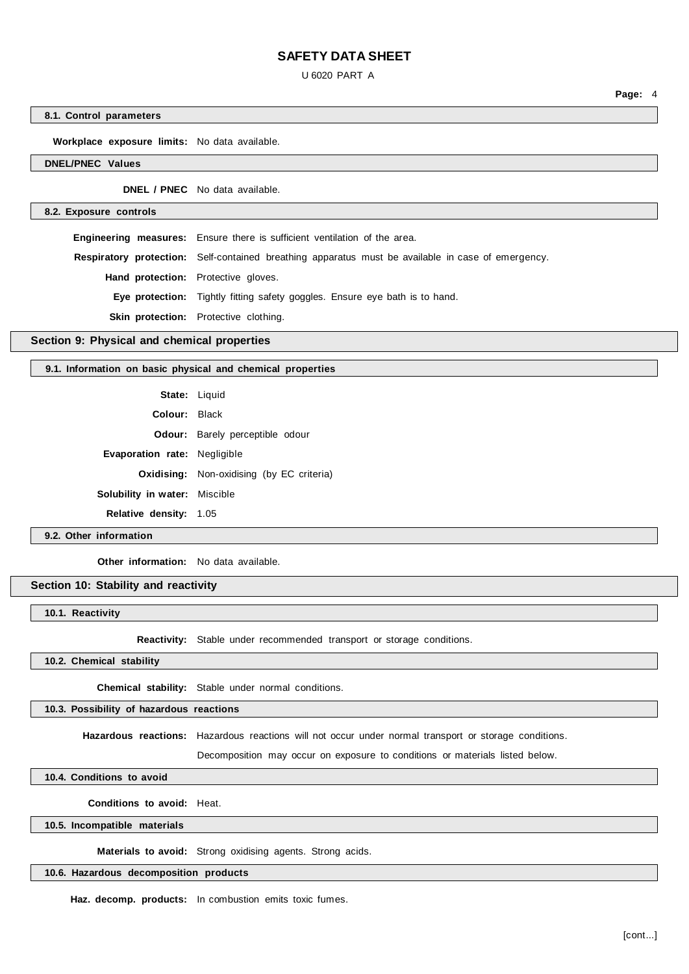U 6020 PART A

**8.1. Control parameters**

**Workplace exposure limits:** No data available.

**DNEL/PNEC Values**

**DNEL / PNEC** No data available.

**8.2. Exposure controls**

**Engineering measures:** Ensure there is sufficient ventilation of the area. **Respiratory protection:** Self-contained breathing apparatus must be available in case of emergency. **Hand protection:** Protective gloves. **Eye protection:** Tightly fitting safety goggles. Ensure eye bath is to hand. **Skin protection:** Protective clothing.

**Section 9: Physical and chemical properties**

#### **9.1. Information on basic physical and chemical properties**

|                                      | State: Liquid                                    |
|--------------------------------------|--------------------------------------------------|
| Colour: Black                        |                                                  |
|                                      | <b>Odour:</b> Barely perceptible odour           |
| <b>Evaporation rate: Negligible</b>  |                                                  |
|                                      | <b>Oxidising:</b> Non-oxidising (by EC criteria) |
| <b>Solubility in water:</b> Miscible |                                                  |
| <b>Relative density: 1.05</b>        |                                                  |

## **9.2. Other information**

**Other information:** No data available.

**Section 10: Stability and reactivity**

**10.1. Reactivity**

**Reactivity:** Stable under recommended transport or storage conditions.

**10.2. Chemical stability**

**Chemical stability:** Stable under normal conditions.

**10.3. Possibility of hazardous reactions**

**Hazardous reactions:** Hazardous reactions will not occur under normal transport or storage conditions.

Decomposition may occur on exposure to conditions or materials listed below.

**10.4. Conditions to avoid**

**Conditions to avoid:** Heat.

**10.5. Incompatible materials**

**Materials to avoid:** Strong oxidising agents. Strong acids.

# **10.6. Hazardous decomposition products**

**Haz. decomp. products:** In combustion emits toxic fumes.

**Page:** 4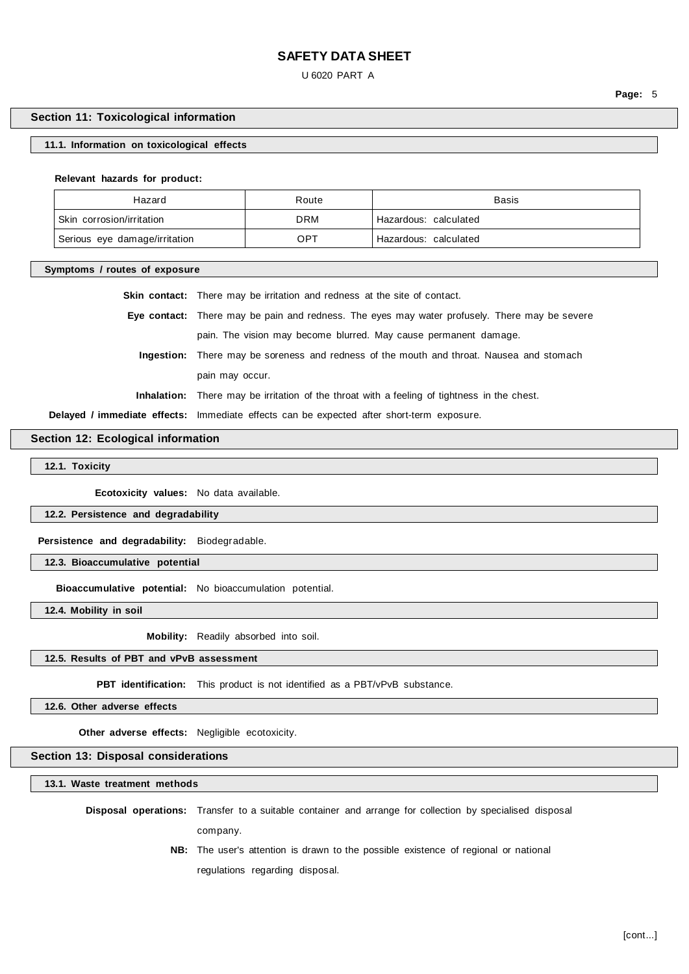U 6020 PART A

# **Section 11: Toxicological information**

## **11.1. Information on toxicological effects**

**Relevant hazards for product:**

| Hazard                        | Route | <b>Basis</b>          |
|-------------------------------|-------|-----------------------|
| Skin corrosion/irritation     | DRM   | Hazardous: calculated |
| Serious eye damage/irritation | OPT   | Hazardous: calculated |

**Symptoms / routes of exposure**

| <b>Skin contact:</b> There may be irritation and redness at the site of contact.                   |
|----------------------------------------------------------------------------------------------------|
| Eye contact: There may be pain and redness. The eyes may water profusely. There may be severe      |
| pain. The vision may become blurred. May cause permanent damage.                                   |
| Ingestion: There may be soreness and redness of the mouth and throat. Nausea and stomach           |
| pain may occur.                                                                                    |
| <b>Inhalation:</b> There may be irritation of the throat with a feeling of tightness in the chest. |
| Delayed / immediate effects: Immediate effects can be expected after short-term exposure.          |

**Section 12: Ecological information**

**12.1. Toxicity**

**Ecotoxicity values:** No data available.

**12.2. Persistence and degradability**

**Persistence and degradability:** Biodegradable.

**12.3. Bioaccumulative potential**

**Bioaccumulative potential:** No bioaccumulation potential.

**12.4. Mobility in soil**

**Mobility:** Readily absorbed into soil.

#### **12.5. Results of PBT and vPvB assessment**

**PBT identification:** This product is not identified as a PBT/vPvB substance.

**12.6. Other adverse effects**

**Other adverse effects:** Negligible ecotoxicity.

# **Section 13: Disposal considerations**

**13.1. Waste treatment methods**

**Disposal operations:** Transfer to a suitable container and arrange for collection by specialised disposal

company.

**NB:** The user's attention is drawn to the possible existence of regional or national regulations regarding disposal.